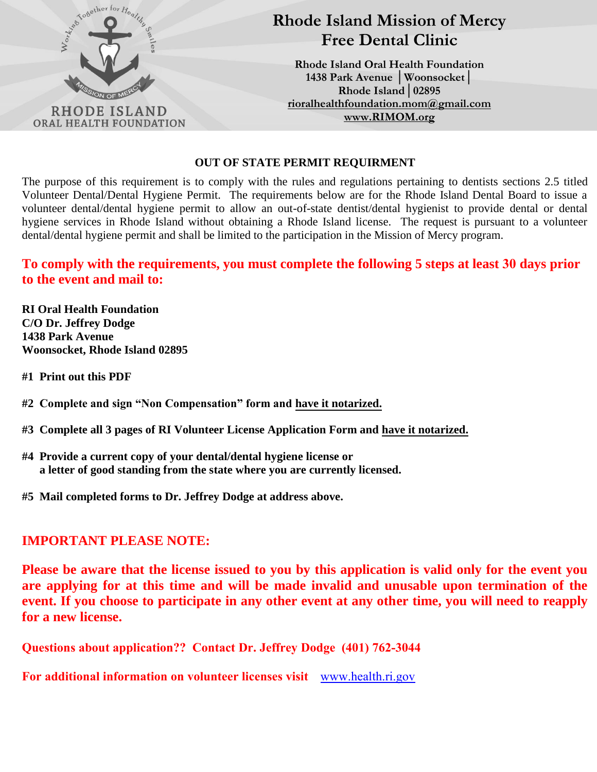

#### **OUT OF STATE PERMIT REQUIRMENT**

The purpose of this requirement is to comply with the rules and regulations pertaining to dentists sections 2.5 titled Volunteer Dental/Dental Hygiene Permit. The requirements below are for the Rhode Island Dental Board to issue a volunteer dental/dental hygiene permit to allow an out-of-state dentist/dental hygienist to provide dental or dental hygiene services in Rhode Island without obtaining a Rhode Island license. The request is pursuant to a volunteer dental/dental hygiene permit and shall be limited to the participation in the Mission of Mercy program.

### **To comply with the requirements, you must complete the following 5 steps at least 30 days prior to the event and mail to:**

**RI Oral Health Foundation C/O Dr. Jeffrey Dodge 1438 Park Avenue Woonsocket, Rhode Island 02895** 

**#1 Print out this PDF** 

**#2 Complete and sign "Non Compensation" form and have it notarized.**

- **#3 Complete all 3 pages of RI Volunteer License Application Form and have it notarized.**
- **#4 Provide a current copy of your dental/dental hygiene license or a letter of good standing from the state where you are currently licensed.**
- **#5 Mail completed forms to Dr. Jeffrey Dodge at address above.**

### **IMPORTANT PLEASE NOTE:**

**Please be aware that the license issued to you by this application is valid only for the event you are applying for at this time and will be made invalid and unusable upon termination of the event. If you choose to participate in any other event at any other time, you will need to reapply for a new license.** 

**Questions about application?? Contact Dr. Jeffrey Dodge (401) 762-3044** 

**For additional information on volunteer licenses visit** <www.health.ri.gov>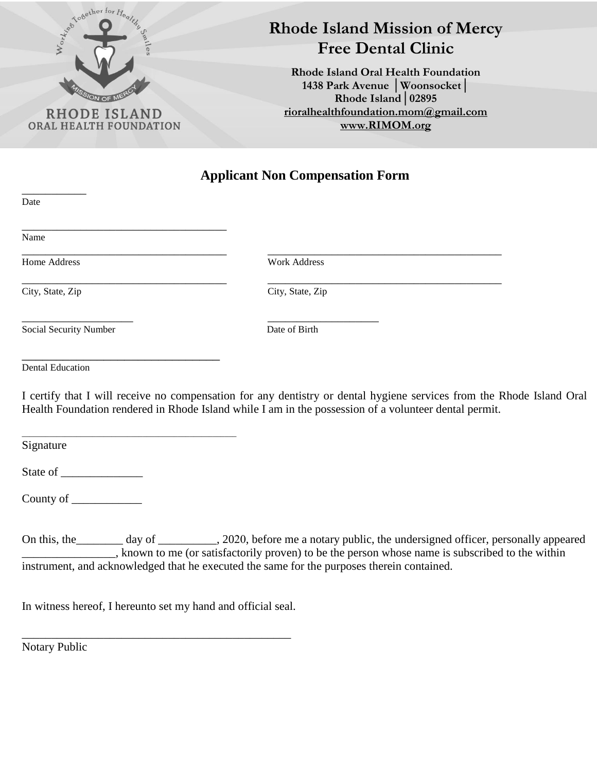

 $\overline{\phantom{a}}$ 

## **Rhode Island Mission of Mercy Free Dental Clinic**

**Rhode Island Oral Health Foundation 1438 Park Avenue │Woonsocket│ Rhode Island│02895 [rioralhealthfoundation.mom@gmail.com](mailto:rioralhealthfoundation.mom@gmail.com) [www.RIMOM.org](http://www.rimom.org/)**

**Applicant Non Compensation Form** 

| Date                                                         |                                                                                                                                                                                                                                                                                                              |
|--------------------------------------------------------------|--------------------------------------------------------------------------------------------------------------------------------------------------------------------------------------------------------------------------------------------------------------------------------------------------------------|
| Name                                                         |                                                                                                                                                                                                                                                                                                              |
| Home Address                                                 | <b>Work Address</b>                                                                                                                                                                                                                                                                                          |
| City, State, Zip                                             | City, State, Zip                                                                                                                                                                                                                                                                                             |
| Social Security Number                                       | Date of Birth                                                                                                                                                                                                                                                                                                |
| <b>Dental Education</b>                                      |                                                                                                                                                                                                                                                                                                              |
|                                                              | I certify that I will receive no compensation for any dentistry or dental hygiene services from the Rhode Island Oral<br>Health Foundation rendered in Rhode Island while I am in the possession of a volunteer dental permit.                                                                               |
| Signature                                                    |                                                                                                                                                                                                                                                                                                              |
|                                                              |                                                                                                                                                                                                                                                                                                              |
|                                                              |                                                                                                                                                                                                                                                                                                              |
|                                                              | On this, the day of _______, 2020, before me a notary public, the undersigned officer, personally appeared<br>, known to me (or satisfactorily proven) to be the person whose name is subscribed to the within<br>instrument, and acknowledged that he executed the same for the purposes therein contained. |
| In witness hereof, I hereunto set my hand and official seal. |                                                                                                                                                                                                                                                                                                              |

Notary Public

\_\_\_\_\_\_\_\_\_\_\_\_\_\_\_\_\_\_\_\_\_\_\_\_\_\_\_\_\_\_\_\_\_\_\_\_\_\_\_\_\_\_\_\_\_\_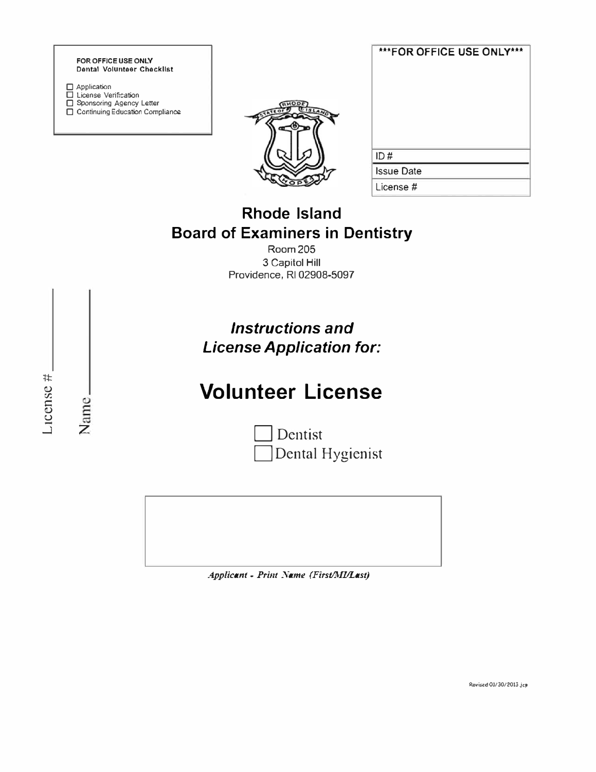

License Verification □ Sponsoring Agency Letter<br>□ Sponsoring Agency Letter<br>□ Continuing Education Compliance



| ***FOR OFFICE USE ONLY*** |  |
|---------------------------|--|
|                           |  |
| ID#                       |  |
| <b>Issue Date</b>         |  |
| License #                 |  |

### **Rhode Island Board of Examiners in Dentistry**

**Room 205** 3 Capitol Hill Providence, RI 02908-5097

Instructions and **License Application for:** 

# **Volunteer License**

Dentist Dental Hygienist

Applicant - Print Name (First/MI/Last)

LICCINC<sup>#</sup>

Name<sub>-</sub>

Rovised 01/30/2013 Jcp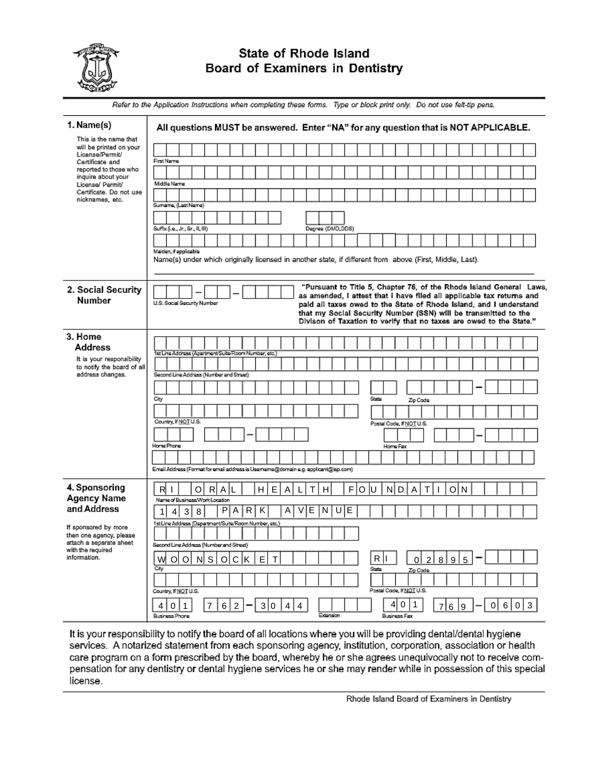

### State of Rhode Island Board of Examiners in Dentistry

Refer to the Application Instructions when completing these forms. Type or block print only. Do not use felt-tip pens. 1. Name(s) All questions MUST be answered. Enter "NA" for any question that is NOT APPLICABLE. This is the name that will be printed on your License/Permit/ Certificate and First Name reported to those who inquire about your Middle Name License/ Permit/ Certificate. Do not use nicknames, etc. Sumarre, (Lest Name) Suffix (i.e., Jr., Sr., II, III) Degree (DMD,DDS) Maiden, if applicable Name(s) under which originally licensed in another state, if different from above (First, Middle, Last). "Pursuant to Title 5, Chapter 76, of the Rhode Island General Laws, 2. Social Security as amended, I attest that I have filed all applicable tax returns and **Number** U.S. Social Security Number paid all taxes owed to the State of Rhode Island, and I understand that my Social Security Number (SSN) will be transmitted to the Divison of Taxation to verify that no taxes are owed to the State." 3. Home **Address** 1st Line A om Number, etc. It is your responsibility to notify the board of all address changes. Second Line Address (Number and Street) <del>cay</del> Zip Code Country, If NOT U.S. Postal Code, If NOT U.S. Home Phone Home Fax Email Address (Format for email address is Usemame@domain e.g. applicant@isp.com) 4. Sponsoring RAL **H** E  $T$  $F|O|U$  $R$  $\mathbf{I}$ οl l al  $\lfloor$  $H$ N D  $\overline{A}$ O т Agency Name Name of Business/Work Location and Address  $P$  $A$  $R$  $K$  $\overline{A}$  $V \vert E$  $\overline{N}$   $\overline{U}$  $4|3|8$ ΙE  $1$ 1st Line Address (Department/Suite/Room Number, etc. If sponsored by more then one agency, please attach a separate sheet Second Line Address (Number and Street) with the required information. w  $O|O|$  N  $S|O|C|K$  $\mathsf E$  $\mathsf{T}$  $R|I$  $0|2|8$ 9 5 জৈ Country, If NOT U.S. Postal Code, If NOT U.S.

It is your responsibility to notify the board of all locations where you will be providing dental/dental hygiene services. A notarized statement from each sponsoring agency, institution, corporation, association or health care program on a form prescribed by the board, whereby he or she agrees unequivocally not to receive compensation for any dentistry or dental hygiene services he or she may render while in possession of this special license.

 $|7|6|2|$ 

 $4|0|1$ 

Rusiness Phone

 $3|0$ 

 $|4|4$ 

 $769$ 

 $0|6|0|3$ 

 $4|0|1$ 

**Rusingss Fax**